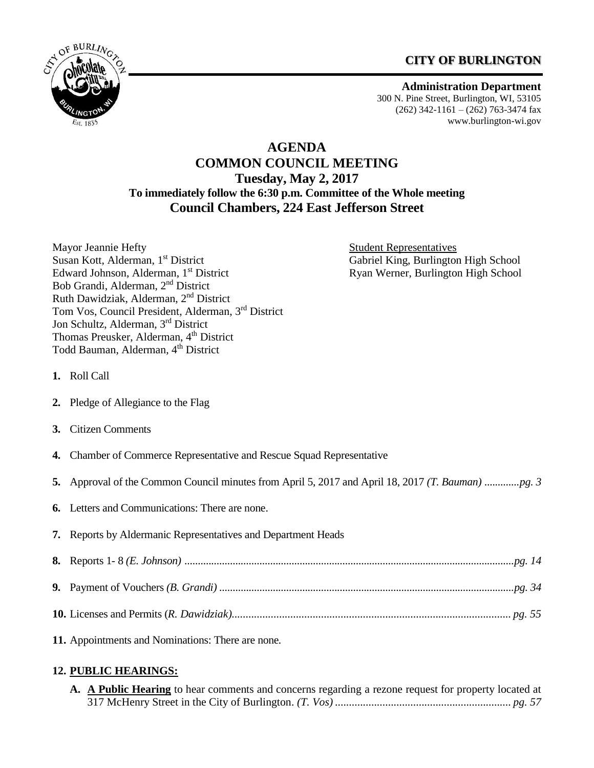# **CITY OF BURLINGTON**



**Administration Department** 300 N. Pine Street, Burlington, WI, 53105  $(262)$  342-1161 –  $(262)$  763-3474 fax [www.burlington-wi.gov](http://www.burlington-wi.gov/)

# **AGENDA COMMON COUNCIL MEETING Tuesday, May 2, 2017 To immediately follow the 6:30 p.m. Committee of the Whole meeting Council Chambers, 224 East Jefferson Street**

Mayor Jeannie Hefty **Student Representatives** Student Representatives Susan Kott, Alderman, 1<sup>st</sup> District Gabriel King, Burlington High School Edward Johnson, Alderman, 1<sup>st</sup> District Ryan Werner, Burlington High School Bob Grandi, Alderman, 2nd District Ruth Dawidziak, Alderman, 2nd District Tom Vos, Council President, Alderman, 3rd District Jon Schultz, Alderman, 3rd District Thomas Preusker, Alderman, 4<sup>th</sup> District Todd Bauman, Alderman, 4<sup>th</sup> District

- **1.** Roll Call
- **2.** Pledge of Allegiance to the Flag
- **3.** Citizen Comments
- **4.** Chamber of Commerce Representative and Rescue Squad Representative
- **5.** Approval of the Common Council minutes from April 5, 2017 and April 18, 2017 *(T. Bauman) .............pg. 3*
- **6.** Letters and Communications: There are none.
- **7.** Reports by Aldermanic Representatives and Department Heads

**11.** Appointments and Nominations: There are none*.* 

# **12. PUBLIC HEARINGS:**

**A. A Public Hearing** to hear comments and concerns regarding a rezone request for property located at 317 McHenry Street in the City of Burlington. *(T. Vos) ............................................................... pg. 57*